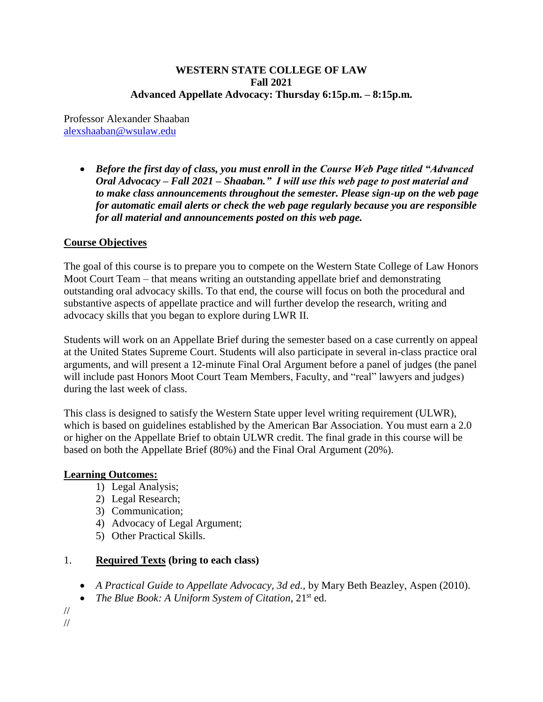#### **WESTERN STATE COLLEGE OF LAW Fall 2021 Advanced Appellate Advocacy: Thursday 6:15p.m. – 8:15p.m.**

Professor Alexander Shaaban [alexshaaban@wsulaw.edu](mailto:alexshaaban@wsulaw.edu)

> *Before the first day of class, you must enroll in the Course Web Page titled "Advanced Oral Advocacy – Fall 2021 – Shaaban." I will use this web page to post material and to make class announcements throughout the semester. Please sign-up on the web page for automatic email alerts or check the web page regularly because you are responsible for all material and announcements posted on this web page.*

### **Course Objectives**

The goal of this course is to prepare you to compete on the Western State College of Law Honors Moot Court Team – that means writing an outstanding appellate brief and demonstrating outstanding oral advocacy skills. To that end, the course will focus on both the procedural and substantive aspects of appellate practice and will further develop the research, writing and advocacy skills that you began to explore during LWR II.

Students will work on an Appellate Brief during the semester based on a case currently on appeal at the United States Supreme Court. Students will also participate in several in-class practice oral arguments, and will present a 12-minute Final Oral Argument before a panel of judges (the panel will include past Honors Moot Court Team Members, Faculty, and "real" lawyers and judges) during the last week of class.

This class is designed to satisfy the Western State upper level writing requirement (ULWR), which is based on guidelines established by the American Bar Association. You must earn a 2.0 or higher on the Appellate Brief to obtain ULWR credit. The final grade in this course will be based on both the Appellate Brief (80%) and the Final Oral Argument (20%).

### **Learning Outcomes:**

- 1) Legal Analysis;
- 2) Legal Research;
- 3) Communication;
- 4) Advocacy of Legal Argument;
- 5) Other Practical Skills.

### 1. **Required Texts (bring to each class)**

- *A Practical Guide to Appellate Advocacy, 3d ed.,* by Mary Beth Beazley, Aspen (2010).
- *The Blue Book: A Uniform System of Citation*, 21<sup>st</sup> ed.

// //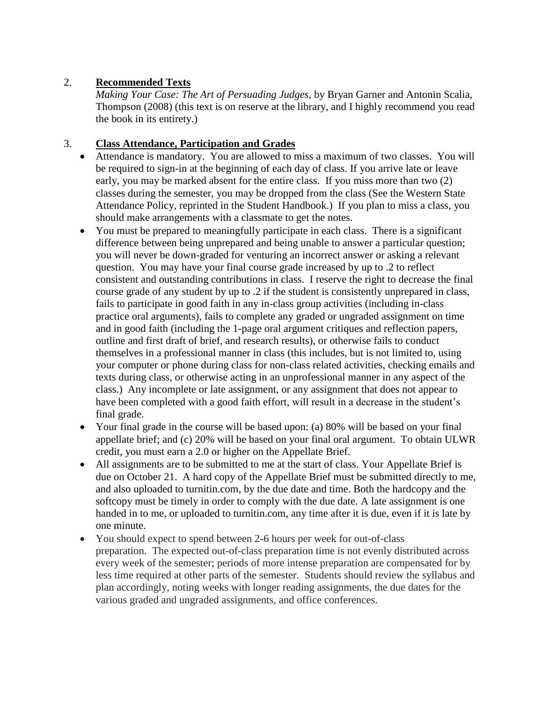## 2. **Recommended Texts**

*Making Your Case: The Art of Persuading Judges*, by Bryan Garner and Antonin Scalia, Thompson (2008) (this text is on reserve at the library, and I highly recommend you read the book in its entirety.)

### 3. **Class Attendance, Participation and Grades**

- Attendance is mandatory. You are allowed to miss a maximum of two classes. You will be required to sign-in at the beginning of each day of class. If you arrive late or leave early, you may be marked absent for the entire class. If you miss more than two (2) classes during the semester, you may be dropped from the class (See the Western State Attendance Policy, reprinted in the Student Handbook.) If you plan to miss a class, you should make arrangements with a classmate to get the notes.
- You must be prepared to meaningfully participate in each class. There is a significant difference between being unprepared and being unable to answer a particular question; you will never be down-graded for venturing an incorrect answer or asking a relevant question. You may have your final course grade increased by up to .2 to reflect consistent and outstanding contributions in class. I reserve the right to decrease the final course grade of any student by up to .2 if the student is consistently unprepared in class, fails to participate in good faith in any in-class group activities (including in-class practice oral arguments), fails to complete any graded or ungraded assignment on time and in good faith (including the 1-page oral argument critiques and reflection papers, outline and first draft of brief, and research results), or otherwise fails to conduct themselves in a professional manner in class (this includes, but is not limited to, using your computer or phone during class for non-class related activities, checking emails and texts during class, or otherwise acting in an unprofessional manner in any aspect of the class.) Any incomplete or late assignment, or any assignment that does not appear to have been completed with a good faith effort, will result in a decrease in the student's final grade.
- Your final grade in the course will be based upon: (a) 80% will be based on your final appellate brief; and (c) 20% will be based on your final oral argument. To obtain ULWR credit, you must earn a 2.0 or higher on the Appellate Brief.
- All assignments are to be submitted to me at the start of class. Your Appellate Brief is due on October 21. A hard copy of the Appellate Brief must be submitted directly to me, and also uploaded to turnitin.com, by the due date and time. Both the hardcopy and the softcopy must be timely in order to comply with the due date. A late assignment is one handed in to me, or uploaded to turnitin.com, any time after it is due, even if it is late by one minute.
- You should expect to spend between 2-6 hours per week for out-of-class preparation. The expected out-of-class preparation time is not evenly distributed across every week of the semester; periods of more intense preparation are compensated for by less time required at other parts of the semester. Students should review the syllabus and plan accordingly, noting weeks with longer reading assignments, the due dates for the various graded and ungraded assignments, and office conferences.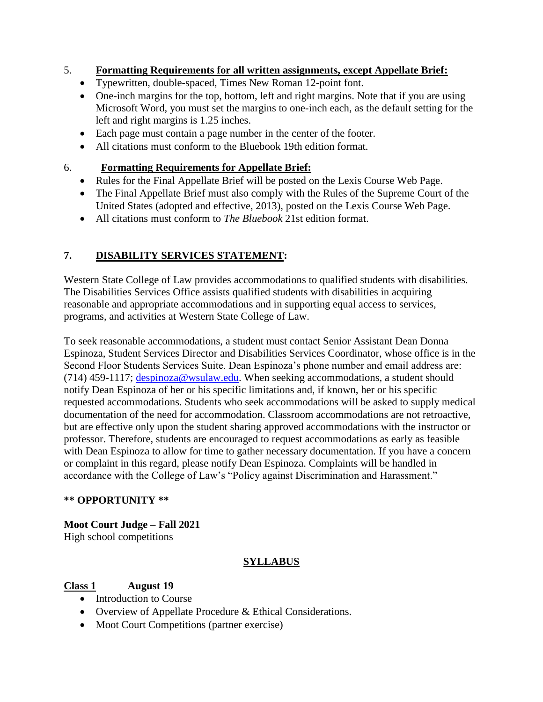## 5. **Formatting Requirements for all written assignments, except Appellate Brief:**

- Typewritten, double-spaced, Times New Roman 12-point font.
- One-inch margins for the top, bottom, left and right margins. Note that if you are using Microsoft Word, you must set the margins to one-inch each, as the default setting for the left and right margins is 1.25 inches.
- Each page must contain a page number in the center of the footer.
- All citations must conform to the Bluebook 19th edition format.

## 6. **Formatting Requirements for Appellate Brief:**

- Rules for the Final Appellate Brief will be posted on the Lexis Course Web Page.
- The Final Appellate Brief must also comply with the Rules of the Supreme Court of the United States (adopted and effective, 2013), posted on the Lexis Course Web Page.
- All citations must conform to *The Bluebook* 21st edition format.

# **7. DISABILITY SERVICES STATEMENT:**

Western State College of Law provides accommodations to qualified students with disabilities. The Disabilities Services Office assists qualified students with disabilities in acquiring reasonable and appropriate accommodations and in supporting equal access to services, programs, and activities at Western State College of Law.

To seek reasonable accommodations, a student must contact Senior Assistant Dean Donna Espinoza, Student Services Director and Disabilities Services Coordinator, whose office is in the Second Floor Students Services Suite. Dean Espinoza's phone number and email address are: (714) 459-1117; [despinoza@wsulaw.edu.](https://email.edmc.edu/OWA/redir.aspx?C=yQra1LQWr0mUS2kXua3NKtkJJnwxadJIBEddnuOHJAr-f5YyX5Wzvx1cEaAFaHZRMWU1iUiov-4.&URL=mailto%3adespinoza%40wsulaw.edu) When seeking accommodations, a student should notify Dean Espinoza of her or his specific limitations and, if known, her or his specific requested accommodations. Students who seek accommodations will be asked to supply medical documentation of the need for accommodation. Classroom accommodations are not retroactive, but are effective only upon the student sharing approved accommodations with the instructor or professor. Therefore, students are encouraged to request accommodations as early as feasible with Dean Espinoza to allow for time to gather necessary documentation. If you have a concern or complaint in this regard, please notify Dean Espinoza. Complaints will be handled in accordance with the College of Law's "Policy against Discrimination and Harassment."

### **\*\* OPPORTUNITY \*\***

**Moot Court Judge – Fall 2021** High school competitions

# **SYLLABUS**

# **Class 1 August 19**

- Introduction to Course
- Overview of Appellate Procedure & Ethical Considerations.
- Moot Court Competitions (partner exercise)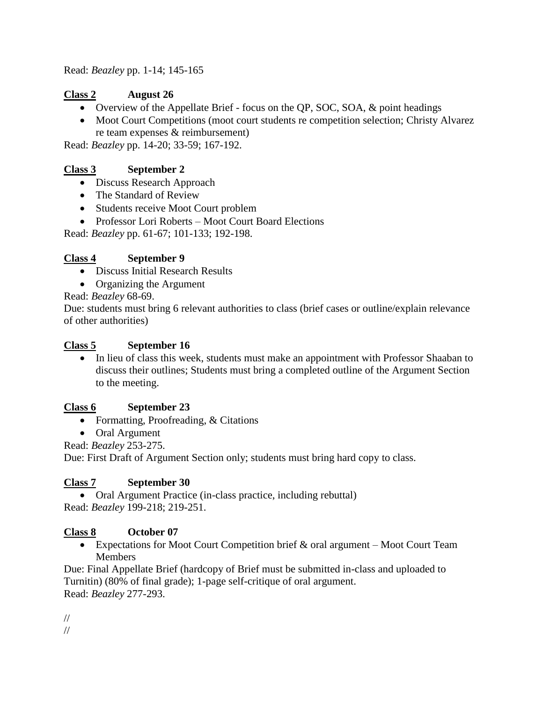Read: *Beazley* pp. 1-14; 145-165

# **Class 2 August 26**

- Overview of the Appellate Brief focus on the QP, SOC, SOA, & point headings
- Moot Court Competitions (moot court students re competition selection; Christy Alvarez re team expenses & reimbursement)

Read: *Beazley* pp. 14-20; 33-59; 167-192.

# **Class 3 September 2**

- Discuss Research Approach
- The Standard of Review
- Students receive Moot Court problem
- Professor Lori Roberts Moot Court Board Elections

Read: *Beazley* pp. 61-67; 101-133; 192-198.

# **Class 4 September 9**

- Discuss Initial Research Results
- Organizing the Argument

Read: *Beazley* 68-69.

Due: students must bring 6 relevant authorities to class (brief cases or outline/explain relevance of other authorities)

## **Class 5 September 16**

• In lieu of class this week, students must make an appointment with Professor Shaaban to discuss their outlines; Students must bring a completed outline of the Argument Section to the meeting.

### **Class 6 September 23**

- Formatting, Proofreading, & Citations
- Oral Argument

Read: *Beazley* 253-275.

Due: First Draft of Argument Section only; students must bring hard copy to class.

# **Class 7 September 30**

• Oral Argument Practice (in-class practice, including rebuttal) Read: *Beazley* 199-218; 219-251.

# **Class 8 October 07**

 Expectations for Moot Court Competition brief & oral argument – Moot Court Team Members

Due: Final Appellate Brief (hardcopy of Brief must be submitted in-class and uploaded to Turnitin) (80% of final grade); 1-page self-critique of oral argument. Read: *Beazley* 277-293.

// //